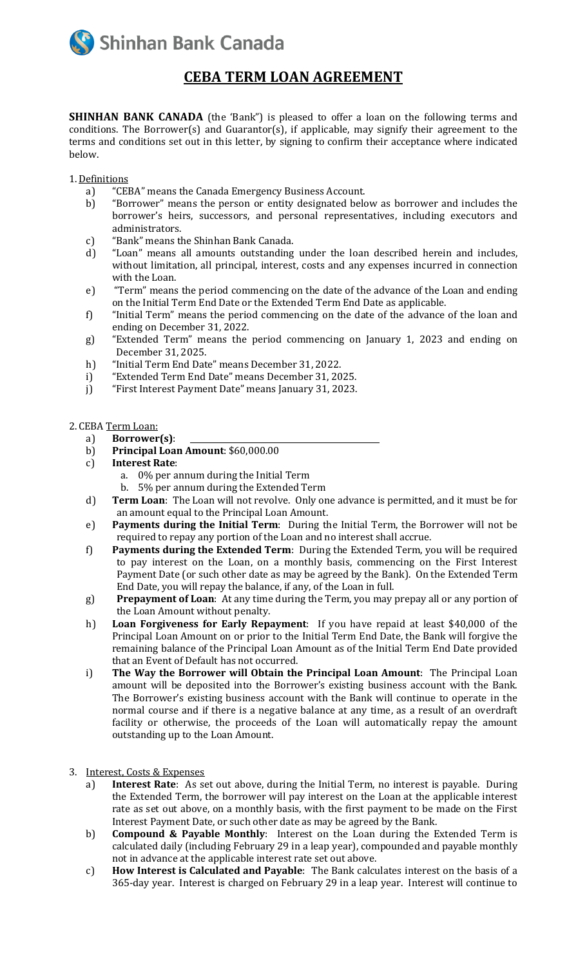**Shinhan Bank Canada** 

# **CEBA TERM LOAN AGREEMENT**

**SHINHAN BANK CANADA** (the 'Bank") is pleased to offer a loan on the following terms and conditions. The Borrower(s) and Guarantor(s), if applicable, may signify their agreement to the terms and conditions set out in this letter, by signing to confirm their acceptance where indicated below.

## 1.Definitions

- a) "CEBA" means the Canada Emergency Business Account.
- b) "Borrower" means the person or entity designated below as borrower and includes the borrower's heirs, successors, and personal representatives, including executors and administrators.
- c) "Bank" means the Shinhan Bank Canada.
- d) "Loan" means all amounts outstanding under the loan described herein and includes, without limitation, all principal, interest, costs and any expenses incurred in connection with the Loan.
- e) "Term" means the period commencing on the date of the advance of the Loan and ending on the Initial Term End Date or the Extended Term End Date as applicable.
- f) "Initial Term" means the period commencing on the date of the advance of the loan and ending on December 31, 2022.
- g) "Extended Term" means the period commencing on January 1, 2023 and ending on December 31, 2025.
- h) "Initial Term End Date" means December 31, 2022.
- i) "Extended Term End Date" means December 31, 2025.
- j) "First Interest Payment Date" means January 31, 2023.

# 2. CEBA Term Loan:

- a) **Borrower(s)**:
- b) **Principal Loan Amount**: \$60,000.00
- c) **Interest Rate**:
	- a. 0% per annum during the Initial Term
		- b. 5% per annum during the Extended Term
- d) **Term Loan**: The Loan will not revolve. Only one advance is permitted, and it must be for an amount equal to the Principal Loan Amount.
- e) **Payments during the Initial Term**: During the Initial Term, the Borrower will not be required to repay any portion of the Loan and no interest shall accrue.
- f) **Payments during the Extended Term**: During the Extended Term, you will be required to pay interest on the Loan, on a monthly basis, commencing on the First Interest Payment Date (or such other date as may be agreed by the Bank). On the Extended Term End Date, you will repay the balance, if any, of the Loan in full.
- g) **Prepayment of Loan**: At any time during the Term, you may prepay all or any portion of the Loan Amount without penalty.
- h) **Loan Forgiveness for Early Repayment**: If you have repaid at least \$40,000 of the Principal Loan Amount on or prior to the Initial Term End Date, the Bank will forgive the remaining balance of the Principal Loan Amount as of the Initial Term End Date provided that an Event of Default has not occurred.
- i) **The Way the Borrower will Obtain the Principal Loan Amount**: The Principal Loan amount will be deposited into the Borrower's existing business account with the Bank. The Borrower's existing business account with the Bank will continue to operate in the normal course and if there is a negative balance at any time, as a result of an overdraft facility or otherwise, the proceeds of the Loan will automatically repay the amount outstanding up to the Loan Amount.
- 3. Interest, Costs & Expenses
	- a) **Interest Rate**: As set out above, during the Initial Term, no interest is payable. During the Extended Term, the borrower will pay interest on the Loan at the applicable interest rate as set out above, on a monthly basis, with the first payment to be made on the First Interest Payment Date, or such other date as may be agreed by the Bank.
	- b) **Compound & Payable Monthly**: Interest on the Loan during the Extended Term is calculated daily (including February 29 in a leap year), compounded and payable monthly not in advance at the applicable interest rate set out above.
	- c) **How Interest is Calculated and Payable**: The Bank calculates interest on the basis of a 365-day year. Interest is charged on February 29 in a leap year. Interest will continue to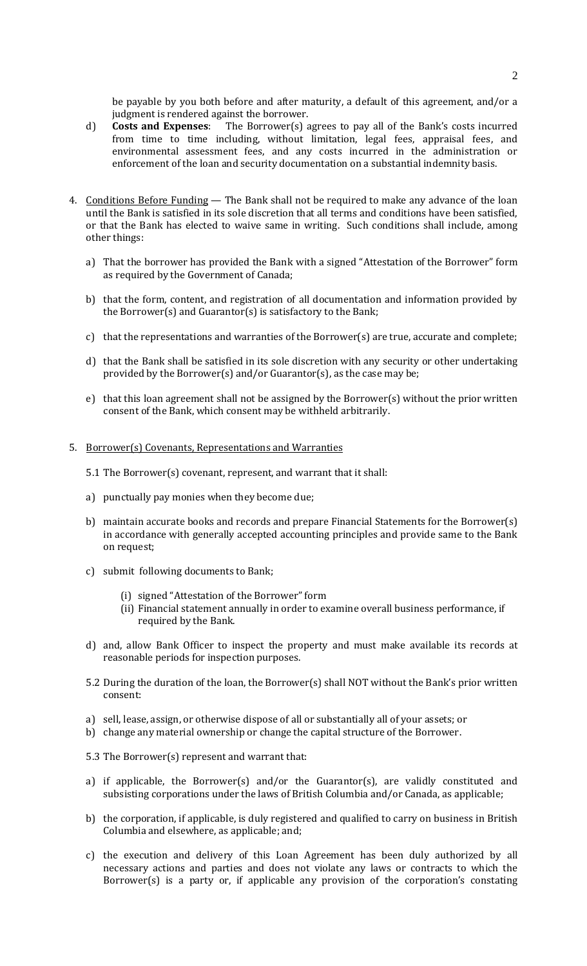be payable by you both before and after maturity, a default of this agreement, and/or a judgment is rendered against the borrower.

- d) **Costs and Expenses**: The Borrower(s) agrees to pay all of the Bank's costs incurred from time to time including, without limitation, legal fees, appraisal fees, and environmental assessment fees, and any costs incurred in the administration or enforcement of the loan and security documentation on a substantial indemnity basis.
- 4. Conditions Before Funding The Bank shall not be required to make any advance of the loan until the Bank is satisfied in its sole discretion that all terms and conditions have been satisfied, or that the Bank has elected to waive same in writing. Such conditions shall include, among other things:
	- a) That the borrower has provided the Bank with a signed "Attestation of the Borrower" form as required by the Government of Canada;
	- b) that the form, content, and registration of all documentation and information provided by the Borrower(s) and Guarantor(s) is satisfactory to the Bank;
	- c) that the representations and warranties of the Borrower(s) are true, accurate and complete;
	- d) that the Bank shall be satisfied in its sole discretion with any security or other undertaking provided by the Borrower(s) and/or Guarantor(s), as the case may be;
	- e) that this loan agreement shall not be assigned by the Borrower(s) without the prior written consent of the Bank, which consent may be withheld arbitrarily.

#### 5. Borrower(s) Covenants, Representations and Warranties

- 5.1 The Borrower(s) covenant, represent, and warrant that it shall:
- a) punctually pay monies when they become due;
- b) maintain accurate books and records and prepare Financial Statements for the Borrower(s) in accordance with generally accepted accounting principles and provide same to the Bank on request;
- c) submit following documents to Bank;
	- (i) signed "Attestation of the Borrower" form
	- (ii) Financial statement annually in order to examine overall business performance, if required by the Bank.
- d) and, allow Bank Officer to inspect the property and must make available its records at reasonable periods for inspection purposes.
- 5.2 During the duration of the loan, the Borrower(s) shall NOT without the Bank's prior written consent:
- a) sell, lease, assign, or otherwise dispose of all or substantially all of your assets; or
- b) change any material ownership or change the capital structure of the Borrower.
- 5.3 The Borrower(s) represent and warrant that:
- a) if applicable, the Borrower(s) and/or the Guarantor(s), are validly constituted and subsisting corporations under the laws of British Columbia and/or Canada, as applicable;
- b) the corporation, if applicable, is duly registered and qualified to carry on business in British Columbia and elsewhere, as applicable; and;
- c) the execution and delivery of this Loan Agreement has been duly authorized by all necessary actions and parties and does not violate any laws or contracts to which the Borrower(s) is a party or, if applicable any provision of the corporation's constating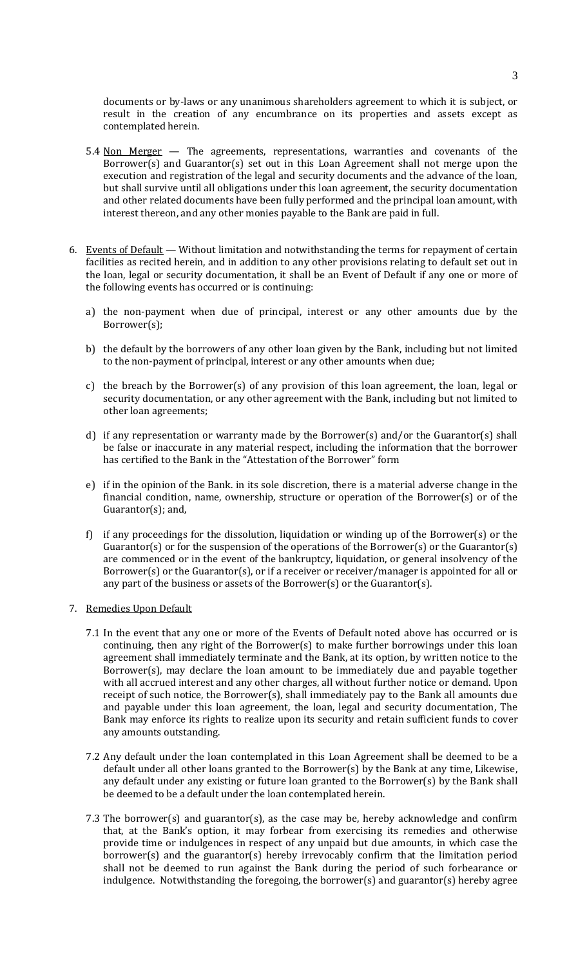documents or by-laws or any unanimous shareholders agreement to which it is subject, or result in the creation of any encumbrance on its properties and assets except as contemplated herein.

- 5.4 Non Merger  $-$  The agreements, representations, warranties and covenants of the Borrower(s) and Guarantor(s) set out in this Loan Agreement shall not merge upon the execution and registration of the legal and security documents and the advance of the loan, but shall survive until all obligations under this loan agreement, the security documentation and other related documents have been fully performed and the principal loan amount, with interest thereon, and any other monies payable to the Bank are paid in full.
- 6. Events of Default Without limitation and notwithstanding the terms for repayment of certain facilities as recited herein, and in addition to any other provisions relating to default set out in the loan, legal or security documentation, it shall be an Event of Default if any one or more of the following events has occurred or is continuing:
	- a) the non-payment when due of principal, interest or any other amounts due by the Borrower(s);
	- b) the default by the borrowers of any other loan given by the Bank, including but not limited to the non-payment of principal, interest or any other amounts when due;
	- c) the breach by the Borrower(s) of any provision of this loan agreement, the loan, legal or security documentation, or any other agreement with the Bank, including but not limited to other loan agreements;
	- d) if any representation or warranty made by the Borrower(s) and/or the Guarantor(s) shall be false or inaccurate in any material respect, including the information that the borrower has certified to the Bank in the "Attestation of the Borrower" form
	- e) if in the opinion of the Bank. in its sole discretion, there is a material adverse change in the financial condition, name, ownership, structure or operation of the Borrower(s) or of the Guarantor(s); and,
	- f) if any proceedings for the dissolution, liquidation or winding up of the Borrower(s) or the Guarantor(s) or for the suspension of the operations of the Borrower(s) or the Guarantor(s) are commenced or in the event of the bankruptcy, liquidation, or general insolvency of the Borrower(s) or the Guarantor(s), or if a receiver or receiver/manager is appointed for all or any part of the business or assets of the Borrower(s) or the Guarantor(s).
- 7. Remedies Upon Default
	- 7.1 In the event that any one or more of the Events of Default noted above has occurred or is continuing, then any right of the Borrower(s) to make further borrowings under this loan agreement shall immediately terminate and the Bank, at its option, by written notice to the Borrower(s), may declare the loan amount to be immediately due and payable together with all accrued interest and any other charges, all without further notice or demand. Upon receipt of such notice, the Borrower(s), shall immediately pay to the Bank all amounts due and payable under this loan agreement, the loan, legal and security documentation, The Bank may enforce its rights to realize upon its security and retain sufficient funds to cover any amounts outstanding.
	- 7.2 Any default under the loan contemplated in this Loan Agreement shall be deemed to be a default under all other loans granted to the Borrower(s) by the Bank at any time, Likewise, any default under any existing or future loan granted to the Borrower(s) by the Bank shall be deemed to be a default under the loan contemplated herein.
	- 7.3 The borrower(s) and guarantor(s), as the case may be, hereby acknowledge and confirm that, at the Bank's option, it may forbear from exercising its remedies and otherwise provide time or indulgences in respect of any unpaid but due amounts, in which case the borrower(s) and the guarantor(s) hereby irrevocably confirm that the limitation period shall not be deemed to run against the Bank during the period of such forbearance or indulgence. Notwithstanding the foregoing, the borrower(s) and guarantor(s) hereby agree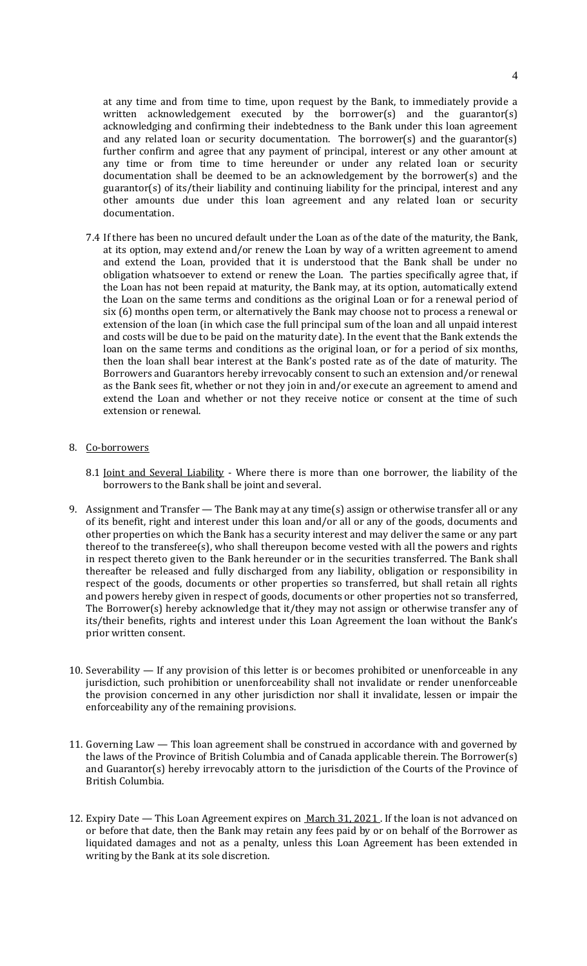at any time and from time to time, upon request by the Bank, to immediately provide a written acknowledgement executed by the borrower(s) and the guarantor(s) acknowledging and confirming their indebtedness to the Bank under this loan agreement and any related loan or security documentation. The borrower(s) and the guarantor(s) further confirm and agree that any payment of principal, interest or any other amount at any time or from time to time hereunder or under any related loan or security documentation shall be deemed to be an acknowledgement by the borrower(s) and the guarantor(s) of its/their liability and continuing liability for the principal, interest and any other amounts due under this loan agreement and any related loan or security documentation.

7.4 If there has been no uncured default under the Loan as of the date of the maturity, the Bank, at its option, may extend and/or renew the Loan by way of a written agreement to amend and extend the Loan, provided that it is understood that the Bank shall be under no obligation whatsoever to extend or renew the Loan. The parties specifically agree that, if the Loan has not been repaid at maturity, the Bank may, at its option, automatically extend the Loan on the same terms and conditions as the original Loan or for a renewal period of six (6) months open term, or alternatively the Bank may choose not to process a renewal or extension of the loan (in which case the full principal sum of the loan and all unpaid interest and costs will be due to be paid on the maturity date). In the event that the Bank extends the loan on the same terms and conditions as the original loan, or for a period of six months, then the loan shall bear interest at the Bank's posted rate as of the date of maturity. The Borrowers and Guarantors hereby irrevocably consent to such an extension and/or renewal as the Bank sees fit, whether or not they join in and/or execute an agreement to amend and extend the Loan and whether or not they receive notice or consent at the time of such extension or renewal.

### 8. Co-borrowers

- 8.1 Joint and Several Liability Where there is more than one borrower, the liability of the borrowers to the Bank shall be joint and several.
- 9. Assignment and Transfer The Bank may at any time(s) assign or otherwise transfer all or any of its benefit, right and interest under this loan and/or all or any of the goods, documents and other properties on which the Bank has a security interest and may deliver the same or any part thereof to the transferee(s), who shall thereupon become vested with all the powers and rights in respect thereto given to the Bank hereunder or in the securities transferred. The Bank shall thereafter be released and fully discharged from any liability, obligation or responsibility in respect of the goods, documents or other properties so transferred, but shall retain all rights and powers hereby given in respect of goods, documents or other properties not so transferred, The Borrower(s) hereby acknowledge that it/they may not assign or otherwise transfer any of its/their benefits, rights and interest under this Loan Agreement the loan without the Bank's prior written consent.
- 10. Severability If any provision of this letter is or becomes prohibited or unenforceable in any jurisdiction, such prohibition or unenforceability shall not invalidate or render unenforceable the provision concerned in any other jurisdiction nor shall it invalidate, lessen or impair the enforceability any of the remaining provisions.
- 11. Governing Law This loan agreement shall be construed in accordance with and governed by the laws of the Province of British Columbia and of Canada applicable therein. The Borrower(s) and Guarantor(s) hereby irrevocably attorn to the jurisdiction of the Courts of the Province of British Columbia.
- 12. Expiry Date This Loan Agreement expires on March 31, 2021. If the loan is not advanced on or before that date, then the Bank may retain any fees paid by or on behalf of the Borrower as liquidated damages and not as a penalty, unless this Loan Agreement has been extended in writing by the Bank at its sole discretion.